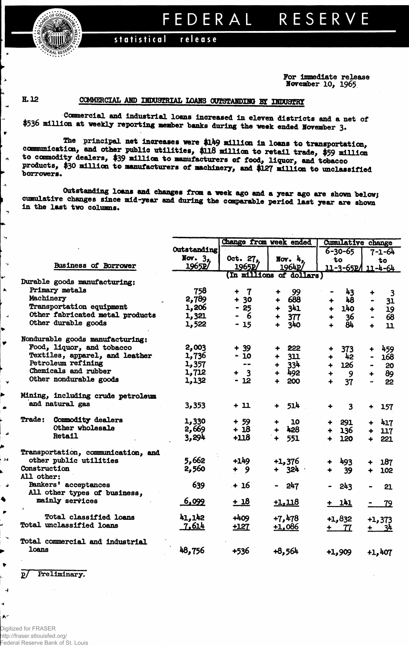

## EDERAL RESERVE F

## statistical release

For immediate release November 10, 1965

H.12

 $\bullet$ 

 $\rightarrow$ 

 $\rightarrow$ 

 $\rightarrow$ 

 $\blacktriangleright$ 

 $\rightarrow$ 

Ý

× Þ

بر ,

♦ P

 $\overline{A}$ J. ۸ŕ

## COMMERCIAL AND INDUSTRIAL LOANS OUTSTANDING BY INDUSTRY

Commercial and industrial loans increased in eleven districts and a net of \$536 million at weekly reporting member banks during the week ended November 3.

The principal net increases were \$149 million in loans to transportation, communication, and other public utilities, \$118 million to retail trade, \$59 million to commodity dealers, \$39 million to manufacturers of food, liquor, and tobacco products, \$30 million to manufacturers of machinery, and \$127 million to unclassified borrowers.

Outstanding loans and changes from a week ago and a year ago are shown below; cumulative changes since mid-year and during the comparable period last year are shown in the last two columns.

|                                    |             | Change from week ended |                             | Cumulative change           |                            |
|------------------------------------|-------------|------------------------|-----------------------------|-----------------------------|----------------------------|
|                                    | Outstanding |                        |                             | $6 - 30 - 65$               | 7-1-64                     |
|                                    | Nov. $32$   | Oct. 27,               | Nov. $h_n$                  | to                          | to                         |
| Business of Borrower               | 1965P/      | 1965p'                 | 1964P                       | 11-3-65P/                   | $11 - 4 - 64$              |
|                                    |             |                        | (In millions of dollars)    |                             |                            |
| Durable goods manufacturing:       |             |                        |                             |                             |                            |
| Primary metals                     | 758         | $\mathbf 7$<br>۰       | 99<br>┿                     | 43                          | $\overline{\mathbf{3}}$    |
| Machinery                          | 2,789       | $+30$                  | 688<br>$+$                  | 48                          | 31                         |
| Transportation equipment           | 1,206       | - 25                   | 341<br>$\ddot{\phantom{1}}$ | 140<br>$+$                  | 19<br>$+$ .                |
| Other fabricated metal products    | 1,321       | 6                      | 377                         | 36                          | 68                         |
| Other durable goods                | 1,522       | $-15$                  | 340<br>$\ddotmark$          | $\mathbf{\overline{84}}$    | 11<br>$\ddot{\phantom{1}}$ |
| Nondurable goods manufacturing:    |             |                        |                             |                             |                            |
| Food, liquor, and tobacco          | 2,003       | $+ 39$                 | $+ 222$                     | 373                         | 459<br>$\ddotmark$         |
| Textiles, apparel, and leather     | 1,736       | $-10$                  | $+ 311$                     | $+$<br>42                   | 168<br>$\blacksquare$      |
| Petroleum refining                 | 1,357       | $\frac{1}{2}$          | $+ 334$                     | 126<br>$+$                  | 20                         |
| Chemicals and rubber               | 1,712       | $+ 3$                  | 492<br>$\ddot{\phantom{1}}$ | - 9<br>$\ddot{\phantom{1}}$ | 89<br>$\ddotmark$          |
| Other nondurable goods             | 1,132       | $-12$                  | 200                         | $\ddotmark$<br>37           | 22<br>$\blacksquare$       |
| Mining, including crude petroleum  |             |                        |                             |                             |                            |
| and natural gas                    | 3,353       | $+11$                  | 514                         |                             |                            |
|                                    |             |                        | $\ddotmark$                 | $\overline{\mathbf{3}}$     | $+ 157$                    |
| <b>Trade:</b><br>Commodity dealers | 1,330       | $+ 59.$                | <b>10</b><br>$\bullet$      | 291                         | $+ 417$                    |
| Other wholesale                    | 2,669       | $+18$                  | + 428                       | + 136                       | $+ 117$                    |
| <b>Retail</b>                      | 3,294       | $+118$                 | $+ 551$                     | $\ddot{\phantom{1}}$<br>120 | 221<br>$+$ $-$             |
| Transportation, communication, and |             |                        |                             |                             |                            |
| other public utilities             | 5,662       | +149                   | $+1,376$                    | 493                         | 187                        |
| Construction                       | 2,560       | + 9                    | $+ 324$                     | 39<br>$\ddot{\bullet}$      | 102<br>$+$                 |
| All other:                         |             |                        |                             |                             |                            |
| Bankers' acceptances               | 639         | + 16                   | - 247                       | 243                         | 21                         |
| All other types of business,       |             |                        |                             |                             |                            |
| mainly services                    | 6,099       | $+18$                  | $+1,118$                    | $+ 141$                     | $-79$                      |
| Total classified loans             | 41,142      | $+409$                 | $+7,478$                    |                             |                            |
| Total unclassified loans           | 7,614       |                        |                             | $+1,832$                    | $+1,373$                   |
|                                    |             | +127                   | $+1,086$                    | $+$ $ 77$                   | $+ 34$                     |
| Total commercial and industrial    |             |                        |                             |                             |                            |
| loans                              | 48,756      | +536                   | $+8,564$                    | $+1,909$                    | $+1,407$                   |
|                                    |             |                        |                             |                             |                            |

Preliminary.  $\mathbf{p}$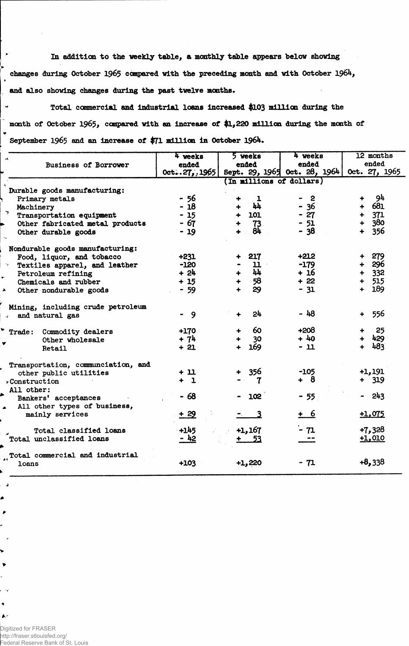**In addition, to the weekly table, & monthly table appears below showing changes daring October 1965 compared with the preceding month and with October 1964, and also showing changes during the past twelve months.**

 **Total commercial and industrial loans increased \$103 million during the**  $\ddot{\phantom{0}}$ **month of October 1965, compared with an increase of \$1,220 million during the month of September 1965 and an increase of \$71 million In October 1964.**

|                                    | 4 weeks                  | 5 weeks                              | 4 weeks                      | 12 months     |  |  |  |  |  |
|------------------------------------|--------------------------|--------------------------------------|------------------------------|---------------|--|--|--|--|--|
| <b>Business of Borrower</b>        | ended                    | ended                                | ended                        | ended         |  |  |  |  |  |
|                                    | $0$ ct $27, 1965$        |                                      | Sept. 29, 1965 Oct. 28, 1964 | Oct. 27, 1965 |  |  |  |  |  |
|                                    | (In millions of dollars) |                                      |                              |               |  |  |  |  |  |
| Durable goods manufacturing:       |                          |                                      |                              |               |  |  |  |  |  |
| Primary metals                     | $-56$                    | $\mathbf{I}$                         | 2                            | - 94          |  |  |  |  |  |
| Machinery                          | $-18$                    | 44                                   | $-36$                        | 681           |  |  |  |  |  |
| $7$ Transportation equipment       | $-15$                    | 101<br>4                             | $-27$                        | 371           |  |  |  |  |  |
| Other fabricated metal products    | - 67                     | 73                                   | $-51$                        | 380           |  |  |  |  |  |
| Other durable goods                | $-19$                    | 84                                   | - 38                         | 356           |  |  |  |  |  |
| Nondurable goods manufacturing:    |                          |                                      |                              |               |  |  |  |  |  |
| Food, liquor, and tobacco          | $+231$                   | 217                                  | $+212$                       | 279           |  |  |  |  |  |
| Textiles apparel, and leather      | $-120$                   | $\mathbf u$                          | $-179$                       | + 296         |  |  |  |  |  |
| Petroleum refining                 | $+24$                    | $\mathbf{h}$<br>$\ddot{\phantom{1}}$ | + 16                         | $+ 332$       |  |  |  |  |  |
| Chemicals and rubber               | $+15$                    | 58<br>┿                              | $+22$                        | 515           |  |  |  |  |  |
| Other nondurable goods             | $-59$                    | 29<br>╇                              | $-31$                        | 189<br>$+$    |  |  |  |  |  |
| Mining, including crude petroleum  |                          |                                      |                              |               |  |  |  |  |  |
| and natural gas                    | - 9                      | 24                                   | - 48                         | 556<br>$+$    |  |  |  |  |  |
| Trade: Commodity dealers           | $+170$                   | 60                                   | $+208$                       | 25            |  |  |  |  |  |
| Other wholesale                    | $+74$                    | 30                                   | $+40$                        | 429           |  |  |  |  |  |
| Retail                             | $+21$                    | 169                                  | - 11                         | 483           |  |  |  |  |  |
| Transportation, communciation, and |                          |                                      |                              |               |  |  |  |  |  |
| other public utilities             | $+11$                    | 356                                  | $-105$                       | $+1,191$      |  |  |  |  |  |
| $\rightarrow$ Construction         | ÷<br>$\mathbf{1}$        | 7                                    | $+ 8$                        | $+ 319$       |  |  |  |  |  |
| All other:                         |                          |                                      |                              |               |  |  |  |  |  |
| Bankers' acceptances               | - 68                     | 102                                  | $-55$                        | 243           |  |  |  |  |  |
| All other types of business,       |                          |                                      |                              |               |  |  |  |  |  |
| mainly services                    | $+29$                    |                                      | + 6                          | $+1,075$      |  |  |  |  |  |
| Total classified loans             | $+145$                   | $+1,167$                             | - 71                         | $+7,328$      |  |  |  |  |  |
| Total unclassified loans           | - 42                     | <u>+ 53</u>                          |                              | $+1,010$      |  |  |  |  |  |
| Total commercial and industrial    |                          |                                      |                              |               |  |  |  |  |  |
| loans                              | $+103$                   | $+1,220$                             | - 71                         | $+8,338$      |  |  |  |  |  |

Digitized for FRASER http://fraser.stlouisfed.org/ Federal Reserve Bank of St. Louis

 $\overline{\phantom{a}}$ ▲  $\blacktriangleright$ 

v  $\blacktriangleright$ 

 $\blacklozenge$  $\blacktriangle$ 

 $\bullet$